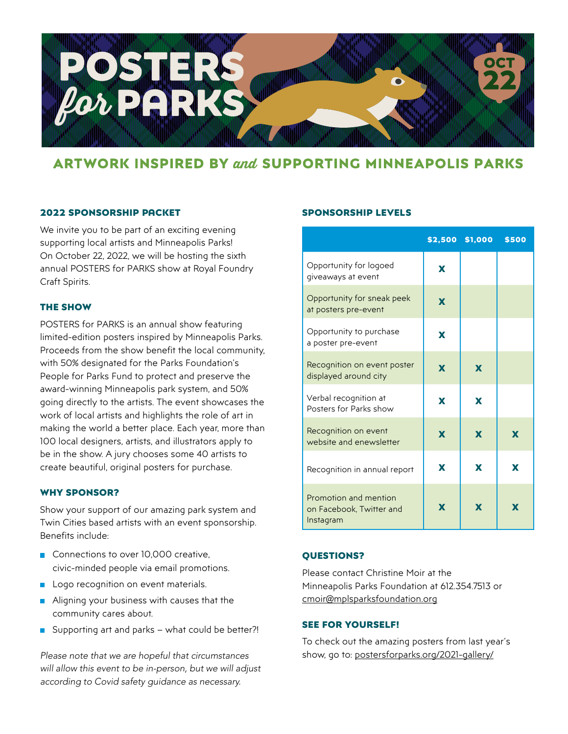

## **ARTWORK INSPIRED BY and SUPPORTING MINNEAPOLIS PARKS**

### 2022 Sponsorship Packet

We invite you to be part of an exciting evening supporting local artists and Minneapolis Parks! On October 22, 2022, we will be hosting the sixth annual POSTERS for PARKS show at Royal Foundry Craft Spirits.

### The Show

POSTERS for PARKS is an annual show featuring limited-edition posters inspired by Minneapolis Parks. Proceeds from the show benefit the local community, with 50% designated for the Parks Foundation's People for Parks Fund to protect and preserve the award-winning Minneapolis park system, and 50% going directly to the artists. The event showcases the work of local artists and highlights the role of art in making the world a better place. Each year, more than 100 local designers, artists, and illustrators apply to be in the show. A jury chooses some 40 artists to create beautiful, original posters for purchase.

### WHY Sponsor?

Show your support of our amazing park system and Twin Cities based artists with an event sponsorship. Benefits include:

- Connections to over 10,000 creative. civic-minded people via email promotions.
- **Logo recognition on event materials.**
- Aligning your business with causes that the community cares about.
- Supporting art and parks what could be better?!

*Please note that we are hopeful that circumstances will allow this event to be in-person, but we will adjust according to Covid safety guidance as necessary.*

### Sponsorship Levels

|                                                                |   | \$2,500 \$1,000 | \$500 |
|----------------------------------------------------------------|---|-----------------|-------|
| Opportunity for logoed<br>giveaways at event                   | X |                 |       |
| Opportunity for sneak peek<br>at posters pre-event             | X |                 |       |
| Opportunity to purchase<br>a poster pre-event                  | X |                 |       |
| Recognition on event poster<br>displayed around city           | X | $\mathbf x$     |       |
| Verbal recognition at<br>Posters for Parks show                | X | X               |       |
| Recognition on event<br>website and enewsletter                | X | $\mathbf x$     | X     |
| Recognition in annual report                                   | X | X               | X     |
| Promotion and mention<br>on Facebook, Twitter and<br>Instagram | X | X               | X     |

### Questions?

Please contact Christine Moir at the Minneapolis Parks Foundation at 612.354.7513 or [cmoir@mplsparksfoundation.org](mailto: cmoir@mplsparksfoundation.org)

### See for yourself!

To check out the amazing posters from last year's [show, go to: postersforparks.org/2021-gallery/](https://postersforparks.org/2021-gallery/)